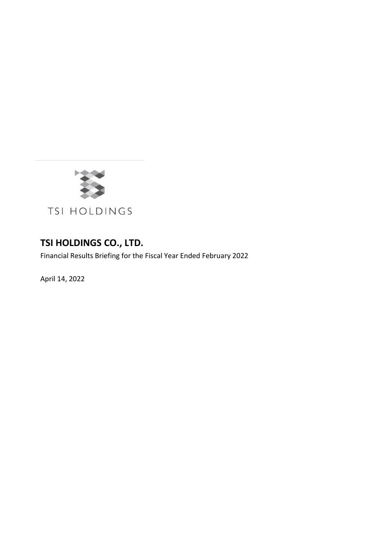

## **TSI HOLDINGS CO., LTD.**

Financial Results Briefing for the Fiscal Year Ended February 2022

April 14, 2022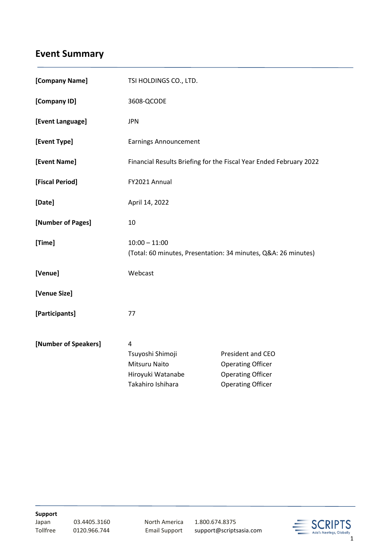# **Event Summary**

| [Company Name]       | TSI HOLDINGS CO., LTD.                                                            |                                                      |
|----------------------|-----------------------------------------------------------------------------------|------------------------------------------------------|
| [Company ID]         | 3608-QCODE                                                                        |                                                      |
| [Event Language]     | <b>JPN</b>                                                                        |                                                      |
| [Event Type]         | <b>Earnings Announcement</b>                                                      |                                                      |
| [Event Name]         | Financial Results Briefing for the Fiscal Year Ended February 2022                |                                                      |
| [Fiscal Period]      | FY2021 Annual                                                                     |                                                      |
| [Date]               | April 14, 2022                                                                    |                                                      |
| [Number of Pages]    | 10                                                                                |                                                      |
| [Time]               | $10:00 - 11:00$<br>(Total: 60 minutes, Presentation: 34 minutes, Q&A: 26 minutes) |                                                      |
| [Venue]              | Webcast                                                                           |                                                      |
| [Venue Size]         |                                                                                   |                                                      |
| [Participants]       | 77                                                                                |                                                      |
| [Number of Speakers] | 4<br>Tsuyoshi Shimoji<br>Mitsuru Naito                                            | President and CEO<br><b>Operating Officer</b>        |
|                      | Hiroyuki Watanabe<br>Takahiro Ishihara                                            | <b>Operating Officer</b><br><b>Operating Officer</b> |

**Support**

03.4405.3160 North America 1.800.674.8375

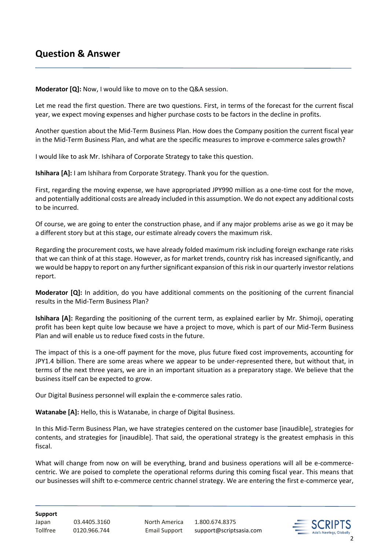### **Question & Answer**

**Moderator [Q]:** Now, I would like to move on to the Q&A session.

Let me read the first question. There are two questions. First, in terms of the forecast for the current fiscal year, we expect moving expenses and higher purchase costs to be factors in the decline in profits.

Another question about the Mid-Term Business Plan. How does the Company position the current fiscal year in the Mid-Term Business Plan, and what are the specific measures to improve e-commerce sales growth?

I would like to ask Mr. Ishihara of Corporate Strategy to take this question.

**Ishihara [A]:** I am Ishihara from Corporate Strategy. Thank you for the question.

First, regarding the moving expense, we have appropriated JPY990 million as a one-time cost for the move, and potentially additional costs are already included in this assumption. We do not expect any additional costs to be incurred.

Of course, we are going to enter the construction phase, and if any major problems arise as we go it may be a different story but at this stage, our estimate already covers the maximum risk.

Regarding the procurement costs, we have already folded maximum risk including foreign exchange rate risks that we can think of at this stage. However, as for market trends, country risk has increased significantly, and we would be happy to report on any further significant expansion of this risk in our quarterly investor relations report.

**Moderator [Q]:** In addition, do you have additional comments on the positioning of the current financial results in the Mid-Term Business Plan?

**Ishihara [A]:** Regarding the positioning of the current term, as explained earlier by Mr. Shimoji, operating profit has been kept quite low because we have a project to move, which is part of our Mid-Term Business Plan and will enable us to reduce fixed costs in the future.

The impact of this is a one-off payment for the move, plus future fixed cost improvements, accounting for JPY1.4 billion. There are some areas where we appear to be under-represented there, but without that, in terms of the next three years, we are in an important situation as a preparatory stage. We believe that the business itself can be expected to grow.

Our Digital Business personnel will explain the e-commerce sales ratio.

**Watanabe [A]:** Hello, this is Watanabe, in charge of Digital Business.

In this Mid-Term Business Plan, we have strategies centered on the customer base [inaudible], strategies for contents, and strategies for [inaudible]. That said, the operational strategy is the greatest emphasis in this fiscal.

What will change from now on will be everything, brand and business operations will all be e-commercecentric. We are poised to complete the operational reforms during this coming fiscal year. This means that our businesses will shift to e-commerce centric channel strategy. We are entering the first e-commerce year,

**Support**

Japan 03.4405.3160 North America 1.800.674.8375

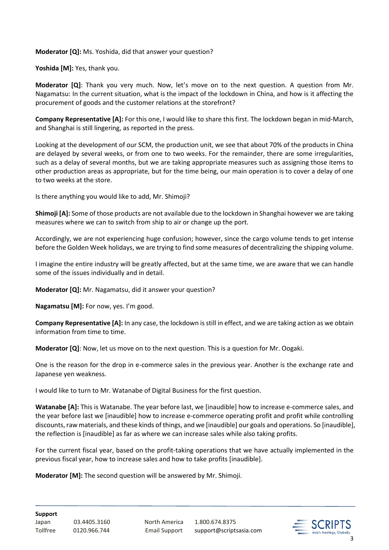#### **Moderator [Q]:** Ms. Yoshida, did that answer your question?

**Yoshida [M]:** Yes, thank you.

**Moderator [Q]**: Thank you very much. Now, let's move on to the next question. A question from Mr. Nagamatsu: In the current situation, what is the impact of the lockdown in China, and how is it affecting the procurement of goods and the customer relations at the storefront?

**Company Representative [A]:** For this one, I would like to share this first. The lockdown began in mid-March, and Shanghai is still lingering, as reported in the press.

Looking at the development of our SCM, the production unit, we see that about 70% of the products in China are delayed by several weeks, or from one to two weeks. For the remainder, there are some irregularities, such as a delay of several months, but we are taking appropriate measures such as assigning those items to other production areas as appropriate, but for the time being, our main operation is to cover a delay of one to two weeks at the store.

Is there anything you would like to add, Mr. Shimoji?

**Shimoji [A]:** Some of those products are not available due to the lockdown in Shanghai however we are taking measures where we can to switch from ship to air or change up the port.

Accordingly, we are not experiencing huge confusion; however, since the cargo volume tends to get intense before the Golden Week holidays, we are trying to find some measures of decentralizing the shipping volume.

I imagine the entire industry will be greatly affected, but at the same time, we are aware that we can handle some of the issues individually and in detail.

**Moderator [Q]:** Mr. Nagamatsu, did it answer your question?

**Nagamatsu [M]:** For now, yes. I'm good.

**Company Representative [A]:** In any case, the lockdown is still in effect, and we are taking action as we obtain information from time to time.

**Moderator [Q]**: Now, let us move on to the next question. This is a question for Mr. Oogaki.

One is the reason for the drop in e-commerce sales in the previous year. Another is the exchange rate and Japanese yen weakness.

I would like to turn to Mr. Watanabe of Digital Business for the first question.

**Watanabe [A]:** This is Watanabe. The year before last, we [inaudible] how to increase e-commerce sales, and the year before last we [inaudible] how to increase e-commerce operating profit and profit while controlling discounts, raw materials, and these kinds of things, and we [inaudible] our goals and operations. So [inaudible], the reflection is [inaudible] as far as where we can increase sales while also taking profits.

For the current fiscal year, based on the profit-taking operations that we have actually implemented in the previous fiscal year, how to increase sales and how to take profits [inaudible].

**Moderator [M]:** The second question will be answered by Mr. Shimoji.

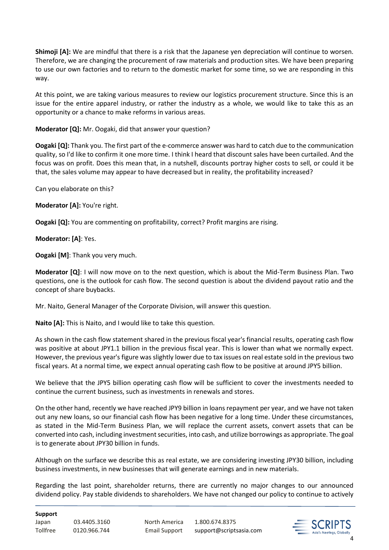**Shimoji [A]:** We are mindful that there is a risk that the Japanese yen depreciation will continue to worsen. Therefore, we are changing the procurement of raw materials and production sites. We have been preparing to use our own factories and to return to the domestic market for some time, so we are responding in this way.

At this point, we are taking various measures to review our logistics procurement structure. Since this is an issue for the entire apparel industry, or rather the industry as a whole, we would like to take this as an opportunity or a chance to make reforms in various areas.

#### **Moderator [Q]:** Mr. Oogaki, did that answer your question?

**Oogaki [Q]:** Thank you. The first part of the e-commerce answer was hard to catch due to the communication quality, so I'd like to confirm it one more time. I think I heard that discount sales have been curtailed. And the focus was on profit. Does this mean that, in a nutshell, discounts portray higher costs to sell, or could it be that, the sales volume may appear to have decreased but in reality, the profitability increased?

Can you elaborate on this?

**Moderator [A]:** You're right.

**Oogaki [Q]:** You are commenting on profitability, correct? Profit margins are rising.

### **Moderator: [A]**: Yes.

**Oogaki [M]**: Thank you very much.

**Moderator [Q]**: I will now move on to the next question, which is about the Mid-Term Business Plan. Two questions, one is the outlook for cash flow. The second question is about the dividend payout ratio and the concept of share buybacks.

Mr. Naito, General Manager of the Corporate Division, will answer this question.

**Naito [A]:** This is Naito, and I would like to take this question.

As shown in the cash flow statement shared in the previous fiscal year's financial results, operating cash flow was positive at about JPY1.1 billion in the previous fiscal year. This is lower than what we normally expect. However, the previous year's figure was slightly lower due to tax issues on real estate sold in the previous two fiscal years. At a normal time, we expect annual operating cash flow to be positive at around JPY5 billion.

We believe that the JPY5 billion operating cash flow will be sufficient to cover the investments needed to continue the current business, such as investments in renewals and stores.

On the other hand, recently we have reached JPY9 billion in loans repayment per year, and we have not taken out any new loans, so our financial cash flow has been negative for a long time. Under these circumstances, as stated in the Mid-Term Business Plan, we will replace the current assets, convert assets that can be converted into cash, including investment securities, into cash, and utilize borrowings as appropriate. The goal is to generate about JPY30 billion in funds.

Although on the surface we describe this as real estate, we are considering investing JPY30 billion, including business investments, in new businesses that will generate earnings and in new materials.

Regarding the last point, shareholder returns, there are currently no major changes to our announced dividend policy. Pay stable dividends to shareholders. We have not changed our policy to continue to actively

#### **Support**

Japan 03.4405.3160 North America 1.800.674.8375

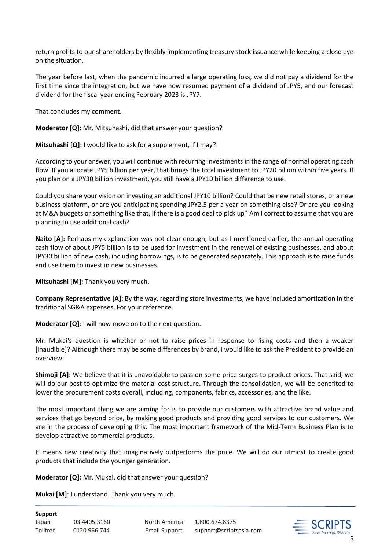return profits to our shareholders by flexibly implementing treasury stock issuance while keeping a close eye on the situation.

The year before last, when the pandemic incurred a large operating loss, we did not pay a dividend for the first time since the integration, but we have now resumed payment of a dividend of JPY5, and our forecast dividend for the fiscal year ending February 2023 is JPY7.

That concludes my comment.

**Moderator [Q]:** Mr. Mitsuhashi, did that answer your question?

**Mitsuhashi [Q]:** I would like to ask for a supplement, if I may?

According to your answer, you will continue with recurring investments in the range of normal operating cash flow. If you allocate JPY5 billion per year, that brings the total investment to JPY20 billion within five years. If you plan on a JPY30 billion investment, you still have a JPY10 billion difference to use.

Could you share your vision on investing an additional JPY10 billion? Could that be new retail stores, or a new business platform, or are you anticipating spending JPY2.5 per a year on something else? Or are you looking at M&A budgets or something like that, if there is a good deal to pick up? Am I correct to assume that you are planning to use additional cash?

**Naito [A]:** Perhaps my explanation was not clear enough, but as I mentioned earlier, the annual operating cash flow of about JPY5 billion is to be used for investment in the renewal of existing businesses, and about JPY30 billion of new cash, including borrowings, is to be generated separately. This approach is to raise funds and use them to invest in new businesses.

**Mitsuhashi [M]:** Thank you very much.

**Company Representative [A]:** By the way, regarding store investments, we have included amortization in the traditional SG&A expenses. For your reference.

**Moderator [Q]**: I will now move on to the next question.

Mr. Mukai's question is whether or not to raise prices in response to rising costs and then a weaker [inaudible]? Although there may be some differences by brand, I would like to ask the President to provide an overview.

**Shimoji [A]:** We believe that it is unavoidable to pass on some price surges to product prices. That said, we will do our best to optimize the material cost structure. Through the consolidation, we will be benefited to lower the procurement costs overall, including, components, fabrics, accessories, and the like.

The most important thing we are aiming for is to provide our customers with attractive brand value and services that go beyond price, by making good products and providing good services to our customers. We are in the process of developing this. The most important framework of the Mid-Term Business Plan is to develop attractive commercial products.

It means new creativity that imaginatively outperforms the price. We will do our utmost to create good products that include the younger generation.

**Moderator [Q]:** Mr. Mukai, did that answer your question?

**Mukai [M]**: I understand. Thank you very much.

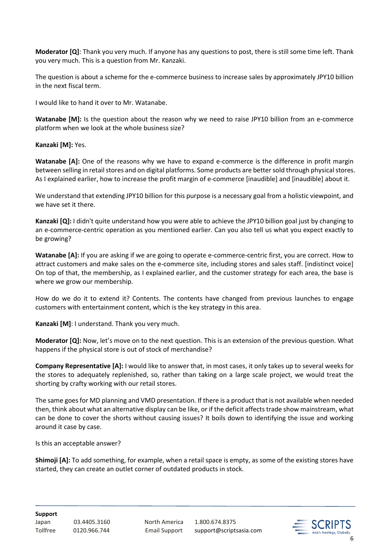**Moderator [Q]**: Thank you very much. If anyone has any questions to post, there is still some time left. Thank you very much. This is a question from Mr. Kanzaki.

The question is about a scheme for the e-commerce business to increase sales by approximately JPY10 billion in the next fiscal term.

I would like to hand it over to Mr. Watanabe.

**Watanabe [M]:** Is the question about the reason why we need to raise JPY10 billion from an e-commerce platform when we look at the whole business size?

**Kanzaki [M]:** Yes.

**Watanabe [A]:** One of the reasons why we have to expand e-commerce is the difference in profit margin between selling in retail stores and on digital platforms. Some products are better sold through physical stores. As I explained earlier, how to increase the profit margin of e-commerce [inaudible] and [inaudible] about it.

We understand that extending JPY10 billion for this purpose is a necessary goal from a holistic viewpoint, and we have set it there.

**Kanzaki [Q]:** I didn't quite understand how you were able to achieve the JPY10 billion goal just by changing to an e-commerce-centric operation as you mentioned earlier. Can you also tell us what you expect exactly to be growing?

**Watanabe [A]:** If you are asking if we are going to operate e-commerce-centric first, you are correct. How to attract customers and make sales on the e-commerce site, including stores and sales staff. [indistinct voice] On top of that, the membership, as I explained earlier, and the customer strategy for each area, the base is where we grow our membership.

How do we do it to extend it? Contents. The contents have changed from previous launches to engage customers with entertainment content, which is the key strategy in this area.

**Kanzaki [M]**: I understand. Thank you very much.

**Moderator [Q]:** Now, let's move on to the next question. This is an extension of the previous question. What happens if the physical store is out of stock of merchandise?

**Company Representative [A]:** I would like to answer that, in most cases, it only takes up to several weeks for the stores to adequately replenished, so, rather than taking on a large scale project, we would treat the shorting by crafty working with our retail stores.

The same goes for MD planning and VMD presentation. If there is a product that is not available when needed then, think about what an alternative display can be like, or if the deficit affects trade show mainstream, what can be done to cover the shorts without causing issues? It boils down to identifying the issue and working around it case by case.

Is this an acceptable answer?

**Shimoji [A]:** To add something, for example, when a retail space is empty, as some of the existing stores have started, they can create an outlet corner of outdated products in stock.

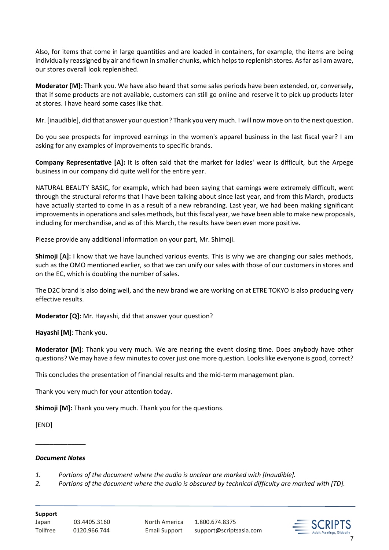Also, for items that come in large quantities and are loaded in containers, for example, the items are being individually reassigned by air and flown in smaller chunks, which helps to replenish stores. As far as I am aware, our stores overall look replenished.

**Moderator [M]:** Thank you. We have also heard that some sales periods have been extended, or, conversely, that if some products are not available, customers can still go online and reserve it to pick up products later at stores. I have heard some cases like that.

Mr. [inaudible], did that answer your question? Thank you very much. I will now move on to the next question.

Do you see prospects for improved earnings in the women's apparel business in the last fiscal year? I am asking for any examples of improvements to specific brands.

**Company Representative [A]:** It is often said that the market for ladies' wear is difficult, but the Arpege business in our company did quite well for the entire year.

NATURAL BEAUTY BASIC, for example, which had been saying that earnings were extremely difficult, went through the structural reforms that I have been talking about since last year, and from this March, products have actually started to come in as a result of a new rebranding. Last year, we had been making significant improvements in operations and sales methods, but this fiscal year, we have been able to make new proposals, including for merchandise, and as of this March, the results have been even more positive.

Please provide any additional information on your part, Mr. Shimoji.

**Shimoji [A]:** I know that we have launched various events. This is why we are changing our sales methods, such as the OMO mentioned earlier, so that we can unify our sales with those of our customers in stores and on the EC, which is doubling the number of sales.

The D2C brand is also doing well, and the new brand we are working on at ETRE TOKYO is also producing very effective results.

**Moderator [Q]:** Mr. Hayashi, did that answer your question?

**Hayashi [M]**: Thank you.

**Moderator [M]**: Thank you very much. We are nearing the event closing time. Does anybody have other questions? We may have a few minutes to cover just one more question. Looks like everyone is good, correct?

This concludes the presentation of financial results and the mid-term management plan.

Thank you very much for your attention today.

**Shimoji [M]:** Thank you very much. Thank you for the questions.

[END]

#### *Document Notes*

**\_\_\_\_\_\_\_\_\_\_\_\_\_\_**

*1. Portions of the document where the audio is unclear are marked with [Inaudible].*

*2. Portions of the document where the audio is obscured by technical difficulty are marked with [TD].*

**Support**

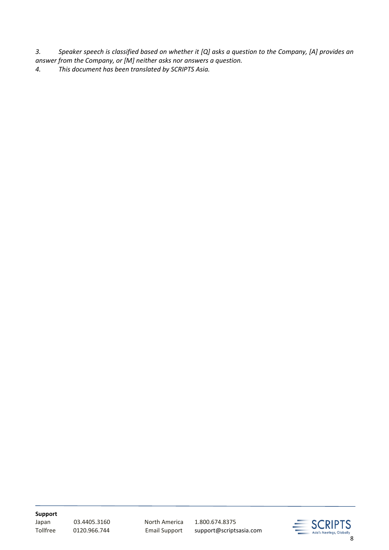*3. Speaker speech is classified based on whether it [Q] asks a question to the Company, [A] provides an answer from the Company, or [M] neither asks nor answers a question.*

*4. This document has been translated by SCRIPTS Asia.*

**Support**

03.4405.3160 North America 1.800.674.8375